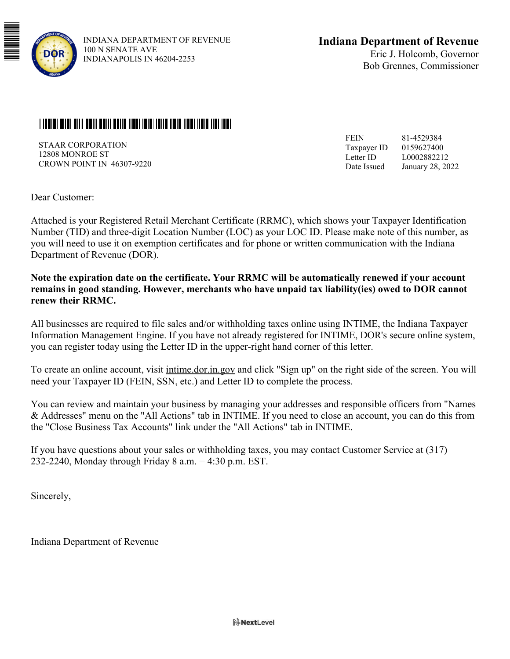

## <u>i laalal allal aliit aalii walii aalia 11001 latal latia 11010 lihat 11010 lihat 1101 labi</u>

STAAR CORPORATION 12808 MONROE ST CROWN POINT IN 46307-9220

81-4529384 0159627400 L0002882212 January 28, 2022 FEIN Taxpayer ID Letter ID Date Issued

Dear Customer:

Attached is your Registered Retail Merchant Certificate (RRMC), which shows your Taxpayer Identification Number (TID) and three-digit Location Number (LOC) as your LOC ID. Please make note of this number, as you will need to use it on exemption certificates and for phone or written communication with the Indiana Department of Revenue (DOR).

**Note the expiration date on the certificate. Your RRMC will be automatically renewed if your account remains in good standing. However, merchants who have unpaid tax liability(ies) owed to DOR cannot renew their RRMC.** 

All businesses are required to file sales and/or withholding taxes online using INTIME, the Indiana Taxpayer Information Management Engine. If you have not already registered for INTIME, DOR's secure online system, you can register today using the Letter ID in the upper-right hand corner of this letter.

To create an online account, visit intime.dor.in.gov and click "Sign up" on the right side of the screen. You will need your Taxpayer ID (FEIN, SSN, etc.) and Letter ID to complete the process.

You can review and maintain your business by managing your addresses and responsible officers from "Names & Addresses" menu on the "All Actions" tab in INTIME. If you need to close an account, you can do this from the "Close Business Tax Accounts" link under the "All Actions" tab in INTIME.

If you have questions about your sales or withholding taxes, you may contact Customer Service at (317) 232-2240, Monday through Friday 8 a.m. − 4:30 p.m. EST.

Sincerely,

Indiana Department of Revenue